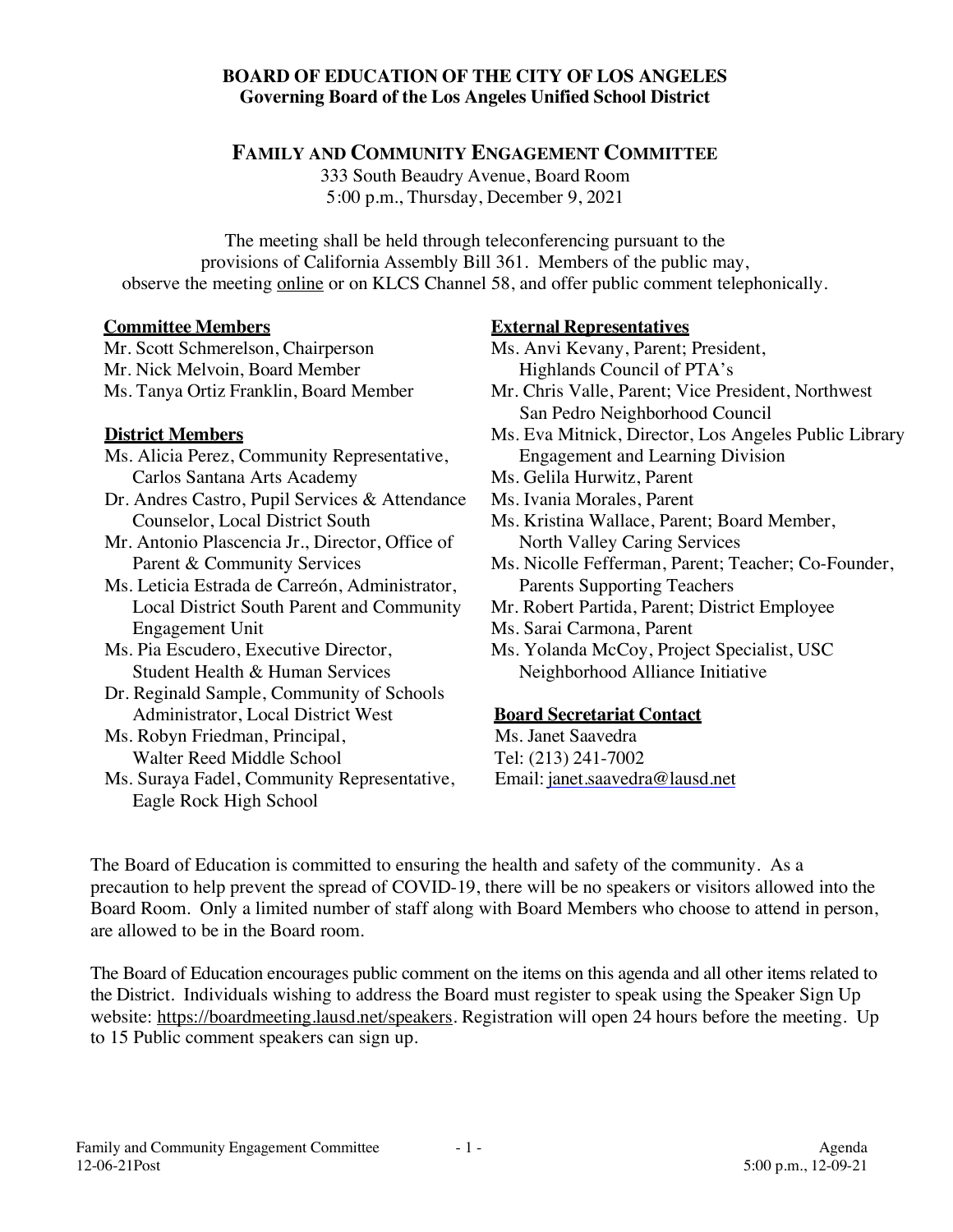## **BOARD OF EDUCATION OF THE CITY OF LOS ANGELES Governing Board of the Los Angeles Unified School District**

**FAMILY AND COMMUNITY ENGAGEMENT COMMITTEE**

333 South Beaudry Avenue, Board Room 5:00 p.m., Thursday, December 9, 2021

The meeting shall be held through teleconferencing pursuant to the provisions of California Assembly Bill 361. Members of the public may, observe the meeting online or on KLCS Channel 58, and offer public comment telephonically.

#### **Committee Members**

Mr. Scott Schmerelson, Chairperson Mr. Nick Melvoin, Board Member Ms. Tanya Ortiz Franklin, Board Member

## **District Members**

- Ms. Alicia Perez, Community Representative, Carlos Santana Arts Academy
- Dr. Andres Castro, Pupil Services & Attendance Counselor, Local District South
- Mr. Antonio Plascencia Jr., Director, Office of Parent & Community Services
- Ms. Leticia Estrada de Carreón, Administrator, Local District South Parent and Community Engagement Unit
- Ms. Pia Escudero, Executive Director, Student Health & Human Services
- Dr. Reginald Sample, Community of Schools Administrator, Local District West
- Ms. Robyn Friedman, Principal, Walter Reed Middle School
- Ms. Suraya Fadel, Community Representative, Eagle Rock High School

## **External Representatives**

- Ms. Anvi Kevany, Parent; President, Highlands Council of PTA's
- Mr. Chris Valle, Parent; Vice President, Northwest San Pedro Neighborhood Council
- Ms. Eva Mitnick, Director, Los Angeles Public Library Engagement and Learning Division
- Ms. Gelila Hurwitz, Parent
- Ms. Ivania Morales, Parent
- Ms. Kristina Wallace, Parent; Board Member, North Valley Caring Services
- Ms. Nicolle Fefferman, Parent; Teacher; Co-Founder, Parents Supporting Teachers
- Mr. Robert Partida, Parent; District Employee
- Ms. Sarai Carmona, Parent
- Ms. Yolanda McCoy, Project Specialist, USC Neighborhood Alliance Initiative

#### **Board Secretariat Contact**

 Ms. Janet Saavedra Tel: (213) 241-7002 Email: janet.saavedra@lausd.net

The Board of Education is committed to ensuring the health and safety of the community. As a precaution to help prevent the spread of COVID-19, there will be no speakers or visitors allowed into the Board Room. Only a limited number of staff along with Board Members who choose to attend in person, are allowed to be in the Board room.

The Board of Education encourages public comment on the items on this agenda and all other items related to the District. Individuals wishing to address the Board must register to speak using the Speaker Sign Up website: https://boardmeeting.lausd.net/speakers. Registration will open 24 hours before the meeting. Up to 15 Public comment speakers can sign up.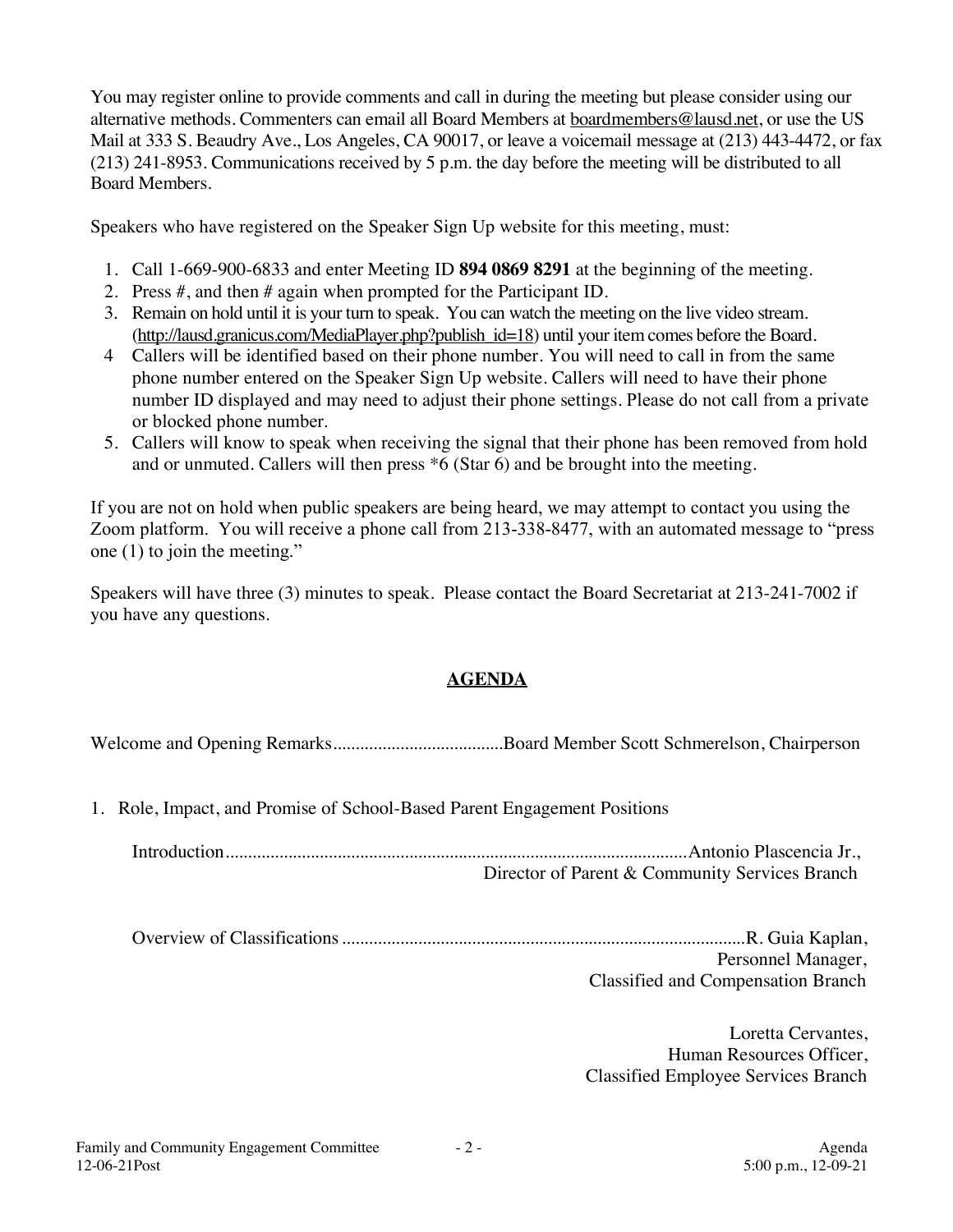You may register online to provide comments and call in during the meeting but please consider using our alternative methods. Commenters can email all Board Members at boardmembers@lausd.net, or use the US Mail at 333 S. Beaudry Ave., Los Angeles, CA 90017, or leave a voicemail message at (213) 443-4472, or fax (213) 241-8953. Communications received by 5 p.m. the day before the meeting will be distributed to all Board Members.

Speakers who have registered on the Speaker Sign Up website for this meeting, must:

- 1. Call 1-669-900-6833 and enter Meeting ID **894 0869 8291** at the beginning of the meeting.
- 2. Press #, and then # again when prompted for the Participant ID.
- 3. Remain on hold until it is your turn to speak. You can watch the meeting on the live video stream. (http://lausd.granicus.com/MediaPlayer.php?publish\_id=18) until your item comes before the Board.
- 4 Callers will be identified based on their phone number. You will need to call in from the same phone number entered on the Speaker Sign Up website. Callers will need to have their phone number ID displayed and may need to adjust their phone settings. Please do not call from a private or blocked phone number.
- 5. Callers will know to speak when receiving the signal that their phone has been removed from hold and or unmuted. Callers will then press \*6 (Star 6) and be brought into the meeting.

If you are not on hold when public speakers are being heard, we may attempt to contact you using the Zoom platform. You will receive a phone call from 213-338-8477, with an automated message to "press one (1) to join the meeting."

Speakers will have three (3) minutes to speak. Please contact the Board Secretariat at 213-241-7002 if you have any questions.

# **AGENDA**

Welcome and Opening Remarks......................................Board Member Scott Schmerelson, Chairperson

1. Role, Impact, and Promise of School-Based Parent Engagement Positions

Introduction.......................................................................................................Antonio Plascencia Jr., Director of Parent & Community Services Branch

Overview of Classifications..........................................................................................R. Guia Kaplan, Personnel Manager, Classified and Compensation Branch

> Loretta Cervantes, Human Resources Officer, Classified Employee Services Branch